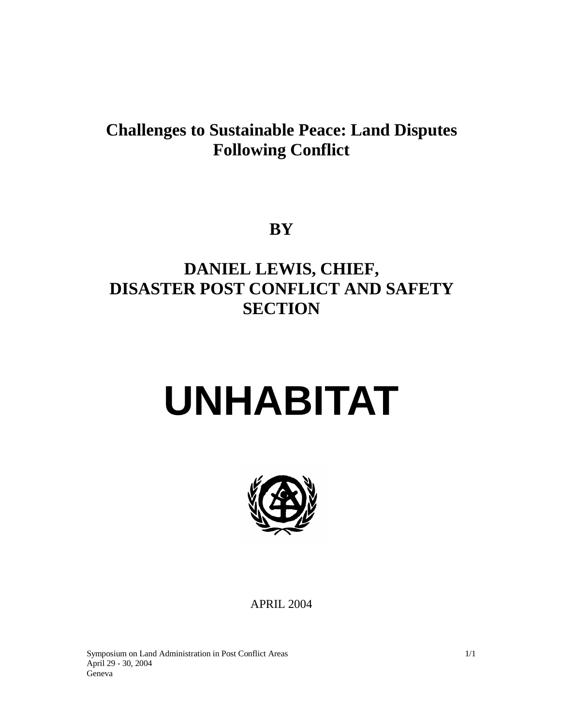# **Challenges to Sustainable Peace: Land Disputes Following Conflict**

**BY** 

# **DANIEL LEWIS, CHIEF, DISASTER POST CONFLICT AND SAFETY SECTION**

# **UNHABITAT**



APRIL 2004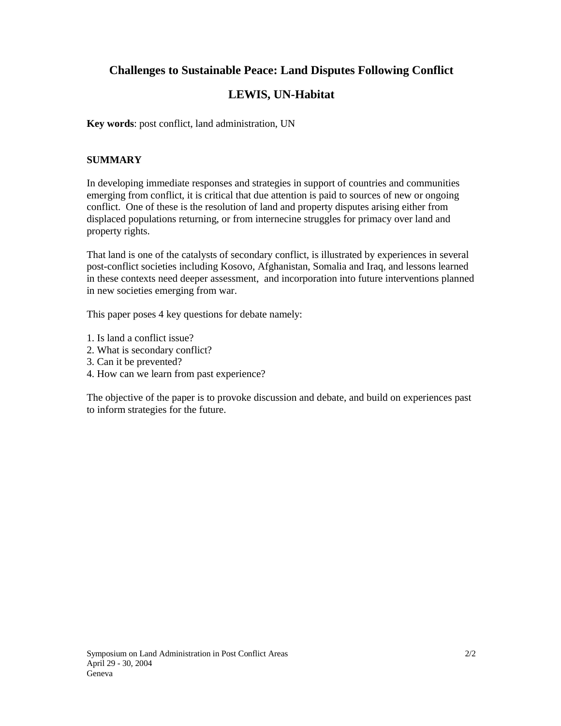# **Challenges to Sustainable Peace: Land Disputes Following Conflict**

# **LEWIS, UN-Habitat**

**Key words**: post conflict, land administration, UN

#### **SUMMARY**

In developing immediate responses and strategies in support of countries and communities emerging from conflict, it is critical that due attention is paid to sources of new or ongoing conflict. One of these is the resolution of land and property disputes arising either from displaced populations returning, or from internecine struggles for primacy over land and property rights.

That land is one of the catalysts of secondary conflict, is illustrated by experiences in several post-conflict societies including Kosovo, Afghanistan, Somalia and Iraq, and lessons learned in these contexts need deeper assessment, and incorporation into future interventions planned in new societies emerging from war.

This paper poses 4 key questions for debate namely:

- 1. Is land a conflict issue?
- 2. What is secondary conflict?
- 3. Can it be prevented?
- 4. How can we learn from past experience?

The objective of the paper is to provoke discussion and debate, and build on experiences past to inform strategies for the future.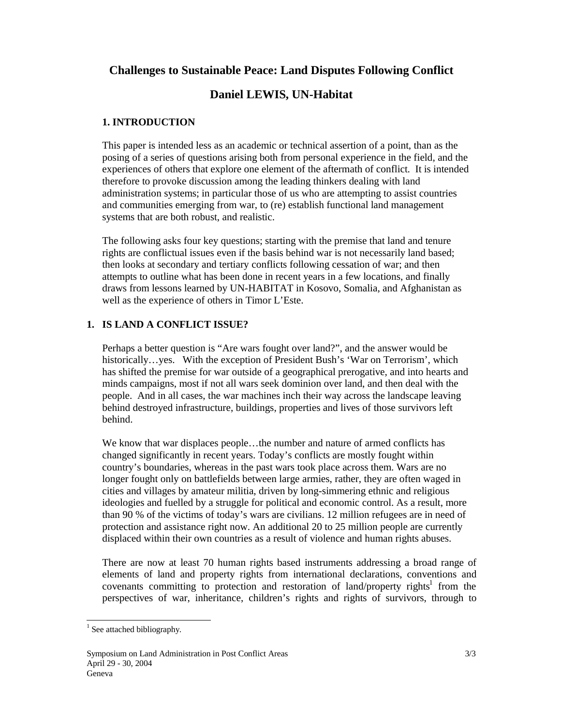## **Challenges to Sustainable Peace: Land Disputes Following Conflict**

# **Daniel LEWIS, UN-Habitat**

#### **1. INTRODUCTION**

This paper is intended less as an academic or technical assertion of a point, than as the posing of a series of questions arising both from personal experience in the field, and the experiences of others that explore one element of the aftermath of conflict. It is intended therefore to provoke discussion among the leading thinkers dealing with land administration systems; in particular those of us who are attempting to assist countries and communities emerging from war, to (re) establish functional land management systems that are both robust, and realistic.

The following asks four key questions; starting with the premise that land and tenure rights are conflictual issues even if the basis behind war is not necessarily land based; then looks at secondary and tertiary conflicts following cessation of war; and then attempts to outline what has been done in recent years in a few locations, and finally draws from lessons learned by UN-HABITAT in Kosovo, Somalia, and Afghanistan as well as the experience of others in Timor L'Este.

#### **1. IS LAND A CONFLICT ISSUE?**

Perhaps a better question is "Are wars fought over land?", and the answer would be historically…yes. With the exception of President Bush's 'War on Terrorism', which has shifted the premise for war outside of a geographical prerogative, and into hearts and minds campaigns, most if not all wars seek dominion over land, and then deal with the people. And in all cases, the war machines inch their way across the landscape leaving behind destroyed infrastructure, buildings, properties and lives of those survivors left behind.

We know that war displaces people…the number and nature of armed conflicts has changed significantly in recent years. Today's conflicts are mostly fought within country's boundaries, whereas in the past wars took place across them. Wars are no longer fought only on battlefields between large armies, rather, they are often waged in cities and villages by amateur militia, driven by long-simmering ethnic and religious ideologies and fuelled by a struggle for political and economic control. As a result, more than 90 % of the victims of today's wars are civilians. 12 million refugees are in need of protection and assistance right now. An additional 20 to 25 million people are currently displaced within their own countries as a result of violence and human rights abuses.

There are now at least 70 human rights based instruments addressing a broad range of elements of land and property rights from international declarations, conventions and covenants committing to protection and restoration of land/property rights<sup>1</sup> from the perspectives of war, inheritance, children's rights and rights of survivors, through to

 $\overline{a}$ 

<sup>&</sup>lt;sup>1</sup> See attached bibliography.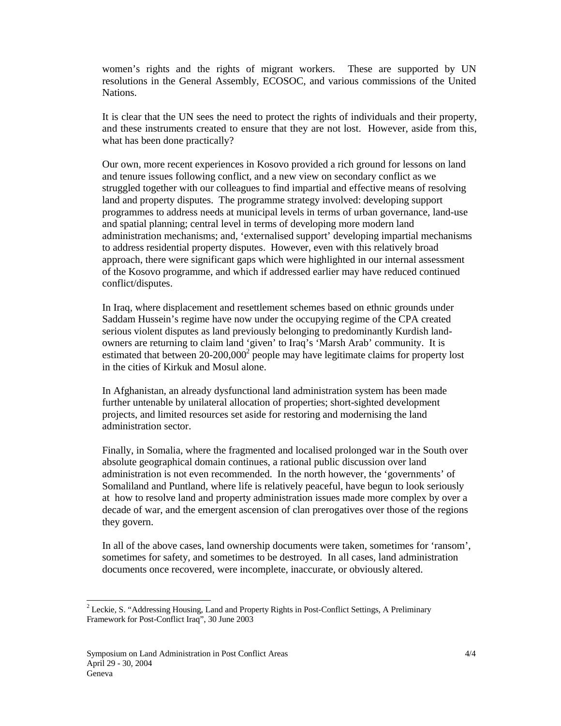women's rights and the rights of migrant workers. These are supported by UN resolutions in the General Assembly, ECOSOC, and various commissions of the United Nations.

It is clear that the UN sees the need to protect the rights of individuals and their property, and these instruments created to ensure that they are not lost. However, aside from this, what has been done practically?

Our own, more recent experiences in Kosovo provided a rich ground for lessons on land and tenure issues following conflict, and a new view on secondary conflict as we struggled together with our colleagues to find impartial and effective means of resolving land and property disputes. The programme strategy involved: developing support programmes to address needs at municipal levels in terms of urban governance, land-use and spatial planning; central level in terms of developing more modern land administration mechanisms; and, 'externalised support' developing impartial mechanisms to address residential property disputes. However, even with this relatively broad approach, there were significant gaps which were highlighted in our internal assessment of the Kosovo programme, and which if addressed earlier may have reduced continued conflict/disputes.

In Iraq, where displacement and resettlement schemes based on ethnic grounds under Saddam Hussein's regime have now under the occupying regime of the CPA created serious violent disputes as land previously belonging to predominantly Kurdish landowners are returning to claim land 'given' to Iraq's 'Marsh Arab' community. It is estimated that between  $20-200,000^2$  people may have legitimate claims for property lost in the cities of Kirkuk and Mosul alone.

In Afghanistan, an already dysfunctional land administration system has been made further untenable by unilateral allocation of properties; short-sighted development projects, and limited resources set aside for restoring and modernising the land administration sector.

Finally, in Somalia, where the fragmented and localised prolonged war in the South over absolute geographical domain continues, a rational public discussion over land administration is not even recommended. In the north however, the 'governments' of Somaliland and Puntland, where life is relatively peaceful, have begun to look seriously at how to resolve land and property administration issues made more complex by over a decade of war, and the emergent ascension of clan prerogatives over those of the regions they govern.

In all of the above cases, land ownership documents were taken, sometimes for 'ransom', sometimes for safety, and sometimes to be destroyed. In all cases, land administration documents once recovered, were incomplete, inaccurate, or obviously altered.

l

<sup>&</sup>lt;sup>2</sup> Leckie, S. "Addressing Housing, Land and Property Rights in Post-Conflict Settings, A Preliminary Framework for Post-Conflict Iraq", 30 June 2003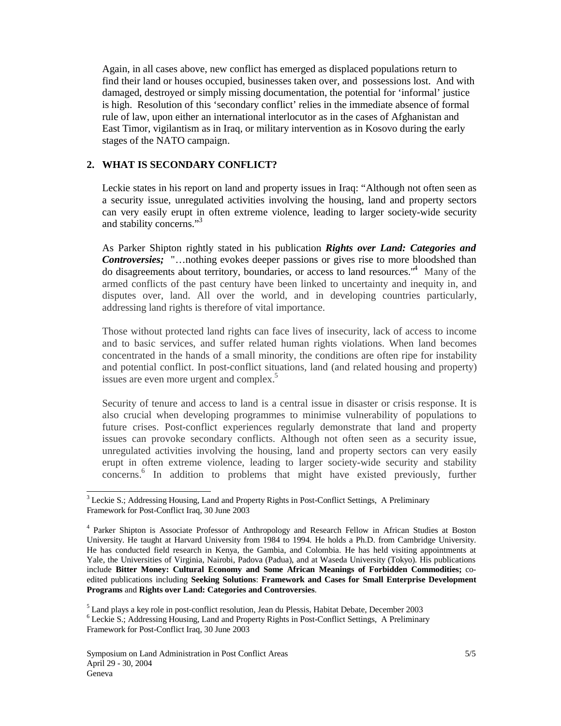Again, in all cases above, new conflict has emerged as displaced populations return to find their land or houses occupied, businesses taken over, and possessions lost. And with damaged, destroyed or simply missing documentation, the potential for 'informal' justice is high. Resolution of this 'secondary conflict' relies in the immediate absence of formal rule of law, upon either an international interlocutor as in the cases of Afghanistan and East Timor, vigilantism as in Iraq, or military intervention as in Kosovo during the early stages of the NATO campaign.

#### **2. WHAT IS SECONDARY CONFLICT?**

Leckie states in his report on land and property issues in Iraq: "Although not often seen as a security issue, unregulated activities involving the housing, land and property sectors can very easily erupt in often extreme violence, leading to larger society-wide security and stability concerns."<sup>3</sup>

As Parker Shipton rightly stated in his publication *Rights over Land: Categories and Controversies;* "…nothing evokes deeper passions or gives rise to more bloodshed than do disagreements about territory, boundaries, or access to land resources."<sup>4</sup> Many of the armed conflicts of the past century have been linked to uncertainty and inequity in, and disputes over, land. All over the world, and in developing countries particularly, addressing land rights is therefore of vital importance.

Those without protected land rights can face lives of insecurity, lack of access to income and to basic services, and suffer related human rights violations. When land becomes concentrated in the hands of a small minority, the conditions are often ripe for instability and potential conflict. In post-conflict situations, land (and related housing and property) issues are even more urgent and complex.<sup>5</sup>

Security of tenure and access to land is a central issue in disaster or crisis response. It is also crucial when developing programmes to minimise vulnerability of populations to future crises. Post-conflict experiences regularly demonstrate that land and property issues can provoke secondary conflicts. Although not often seen as a security issue, unregulated activities involving the housing, land and property sectors can very easily erupt in often extreme violence, leading to larger society-wide security and stability concerns.<sup>6</sup> In addition to problems that might have existed previously, further

l

 $3$  Leckie S.; Addressing Housing, Land and Property Rights in Post-Conflict Settings, A Preliminary Framework for Post-Conflict Iraq, 30 June 2003

<sup>&</sup>lt;sup>4</sup> Parker Shipton is Associate Professor of Anthropology and Research Fellow in African Studies at Boston University. He taught at Harvard University from 1984 to 1994. He holds a Ph.D. from Cambridge University. He has conducted field research in Kenya, the Gambia, and Colombia. He has held visiting appointments at Yale, the Universities of Virginia, Nairobi, Padova (Padua), and at Waseda University (Tokyo). His publications include **Bitter Money: Cultural Economy and Some African Meanings of Forbidden Commodities;** coedited publications including **Seeking Solutions**: **Framework and Cases for Small Enterprise Development Programs** and **Rights over Land: Categories and Controversies**.

<sup>&</sup>lt;sup>5</sup> Land plays a key role in post-conflict resolution, Jean du Plessis, Habitat Debate, December 2003

<sup>&</sup>lt;sup>6</sup> Leckie S.; Addressing Housing, Land and Property Rights in Post-Conflict Settings, A Preliminary Framework for Post-Conflict Iraq, 30 June 2003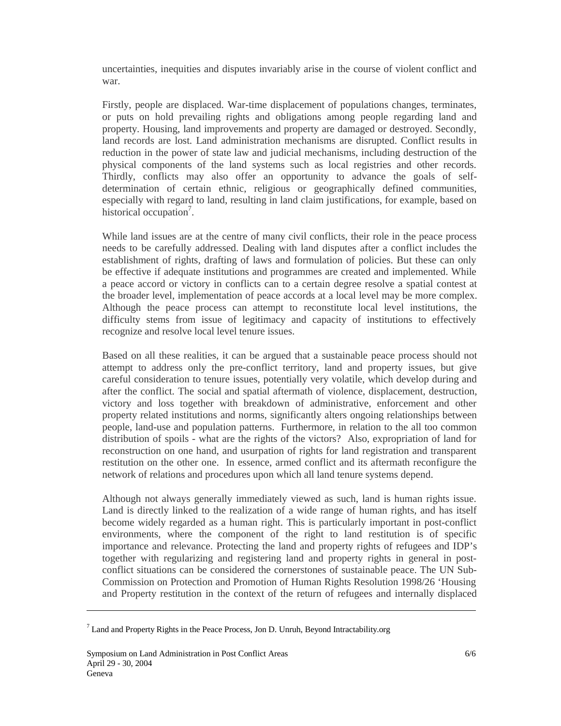uncertainties, inequities and disputes invariably arise in the course of violent conflict and war.

Firstly, people are displaced. War-time displacement of populations changes, terminates, or puts on hold prevailing rights and obligations among people regarding land and property. Housing, land improvements and property are damaged or destroyed. Secondly, land records are lost. Land administration mechanisms are disrupted. Conflict results in reduction in the power of state law and judicial mechanisms, including destruction of the physical components of the land systems such as local registries and other records. Thirdly, conflicts may also offer an opportunity to advance the goals of selfdetermination of certain ethnic, religious or geographically defined communities, especially with regard to land, resulting in land claim justifications, for example, based on historical occupation<sup>7</sup>.

While land issues are at the centre of many civil conflicts, their role in the peace process needs to be carefully addressed. Dealing with land disputes after a conflict includes the establishment of rights, drafting of laws and formulation of policies. But these can only be effective if adequate institutions and programmes are created and implemented. While a peace accord or victory in conflicts can to a certain degree resolve a spatial contest at the broader level, implementation of peace accords at a local level may be more complex. Although the peace process can attempt to reconstitute local level institutions, the difficulty stems from issue of legitimacy and capacity of institutions to effectively recognize and resolve local level tenure issues.

Based on all these realities, it can be argued that a sustainable peace process should not attempt to address only the pre-conflict territory, land and property issues, but give careful consideration to tenure issues, potentially very volatile, which develop during and after the conflict. The social and spatial aftermath of violence, displacement, destruction, victory and loss together with breakdown of administrative, enforcement and other property related institutions and norms, significantly alters ongoing relationships between people, land-use and population patterns. Furthermore, in relation to the all too common distribution of spoils - what are the rights of the victors? Also, expropriation of land for reconstruction on one hand, and usurpation of rights for land registration and transparent restitution on the other one. In essence, armed conflict and its aftermath reconfigure the network of relations and procedures upon which all land tenure systems depend.

Although not always generally immediately viewed as such, land is human rights issue. Land is directly linked to the realization of a wide range of human rights, and has itself become widely regarded as a human right. This is particularly important in post-conflict environments, where the component of the right to land restitution is of specific importance and relevance. Protecting the land and property rights of refugees and IDP's together with regularizing and registering land and property rights in general in postconflict situations can be considered the cornerstones of sustainable peace. The UN Sub-Commission on Protection and Promotion of Human Rights Resolution 1998/26 'Housing and Property restitution in the context of the return of refugees and internally displaced

 $\overline{a}$ 

 $<sup>7</sup>$  Land and Property Rights in the Peace Process, Jon D. Unruh, Beyond Intractability.org</sup>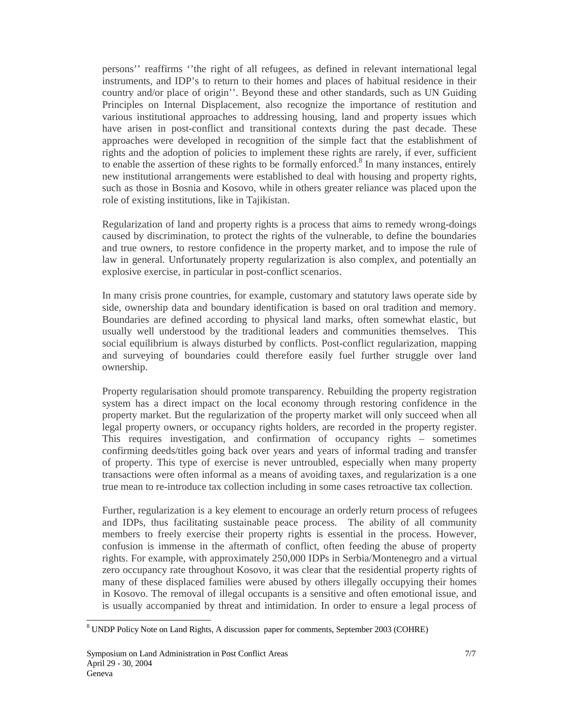persons'' reaffirms ''the right of all refugees, as defined in relevant international legal instruments, and IDP's to return to their homes and places of habitual residence in their country and/or place of origin''. Beyond these and other standards, such as UN Guiding Principles on Internal Displacement, also recognize the importance of restitution and various institutional approaches to addressing housing, land and property issues which have arisen in post-conflict and transitional contexts during the past decade. These approaches were developed in recognition of the simple fact that the establishment of rights and the adoption of policies to implement these rights are rarely, if ever, sufficient to enable the assertion of these rights to be formally enforced.<sup>8</sup> In many instances, entirely new institutional arrangements were established to deal with housing and property rights, such as those in Bosnia and Kosovo, while in others greater reliance was placed upon the role of existing institutions, like in Tajikistan.

Regularization of land and property rights is a process that aims to remedy wrong-doings caused by discrimination, to protect the rights of the vulnerable, to define the boundaries and true owners, to restore confidence in the property market, and to impose the rule of law in general. Unfortunately property regularization is also complex, and potentially an explosive exercise, in particular in post-conflict scenarios.

In many crisis prone countries, for example, customary and statutory laws operate side by side, ownership data and boundary identification is based on oral tradition and memory. Boundaries are defined according to physical land marks, often somewhat elastic, but usually well understood by the traditional leaders and communities themselves. This social equilibrium is always disturbed by conflicts. Post-conflict regularization, mapping and surveying of boundaries could therefore easily fuel further struggle over land ownership.

Property regularisation should promote transparency. Rebuilding the property registration system has a direct impact on the local economy through restoring confidence in the property market. But the regularization of the property market will only succeed when all legal property owners, or occupancy rights holders, are recorded in the property register. This requires investigation, and confirmation of occupancy rights – sometimes confirming deeds/titles going back over years and years of informal trading and transfer of property. This type of exercise is never untroubled, especially when many property transactions were often informal as a means of avoiding taxes, and regularization is a one true mean to re-introduce tax collection including in some cases retroactive tax collection.

Further, regularization is a key element to encourage an orderly return process of refugees and IDPs, thus facilitating sustainable peace process. The ability of all community members to freely exercise their property rights is essential in the process. However, confusion is immense in the aftermath of conflict, often feeding the abuse of property rights. For example, with approximately 250,000 IDPs in Serbia/Montenegro and a virtual zero occupancy rate throughout Kosovo, it was clear that the residential property rights of many of these displaced families were abused by others illegally occupying their homes in Kosovo. The removal of illegal occupants is a sensitive and often emotional issue, and is usually accompanied by threat and intimidation. In order to ensure a legal process of

 $\overline{a}$ 

<sup>&</sup>lt;sup>8</sup> UNDP Policy Note on Land Rights, A discussion paper for comments, September 2003 (COHRE)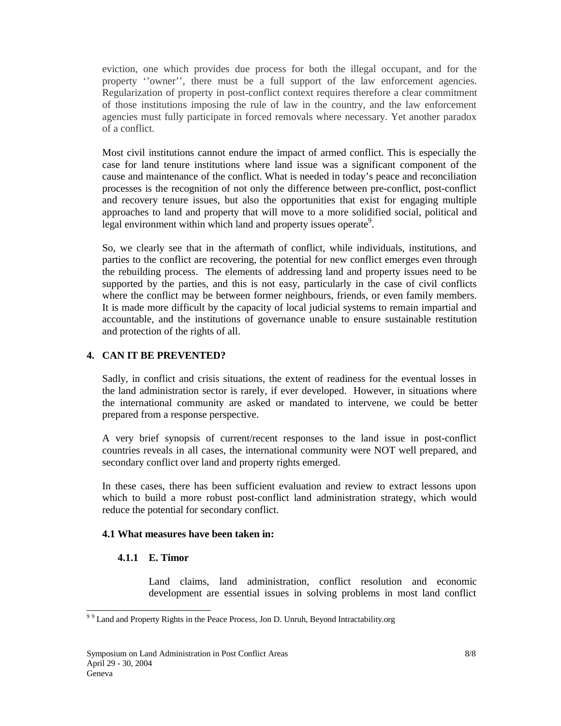eviction, one which provides due process for both the illegal occupant, and for the property ''owner'', there must be a full support of the law enforcement agencies. Regularization of property in post-conflict context requires therefore a clear commitment of those institutions imposing the rule of law in the country, and the law enforcement agencies must fully participate in forced removals where necessary. Yet another paradox of a conflict.

Most civil institutions cannot endure the impact of armed conflict. This is especially the case for land tenure institutions where land issue was a significant component of the cause and maintenance of the conflict. What is needed in today's peace and reconciliation processes is the recognition of not only the difference between pre-conflict, post-conflict and recovery tenure issues, but also the opportunities that exist for engaging multiple approaches to land and property that will move to a more solidified social, political and legal environment within which land and property issues operate<sup>9</sup>.

So, we clearly see that in the aftermath of conflict, while individuals, institutions, and parties to the conflict are recovering, the potential for new conflict emerges even through the rebuilding process. The elements of addressing land and property issues need to be supported by the parties, and this is not easy, particularly in the case of civil conflicts where the conflict may be between former neighbours, friends, or even family members. It is made more difficult by the capacity of local judicial systems to remain impartial and accountable, and the institutions of governance unable to ensure sustainable restitution and protection of the rights of all.

#### **4. CAN IT BE PREVENTED?**

Sadly, in conflict and crisis situations, the extent of readiness for the eventual losses in the land administration sector is rarely, if ever developed. However, in situations where the international community are asked or mandated to intervene, we could be better prepared from a response perspective.

A very brief synopsis of current/recent responses to the land issue in post-conflict countries reveals in all cases, the international community were NOT well prepared, and secondary conflict over land and property rights emerged.

In these cases, there has been sufficient evaluation and review to extract lessons upon which to build a more robust post-conflict land administration strategy, which would reduce the potential for secondary conflict.

#### **4.1 What measures have been taken in:**

#### **4.1.1 E. Timor**

Land claims, land administration, conflict resolution and economic development are essential issues in solving problems in most land conflict

<sup>&</sup>lt;sup>99</sup> Land and Property Rights in the Peace Process, Jon D. Unruh, Beyond Intractability.org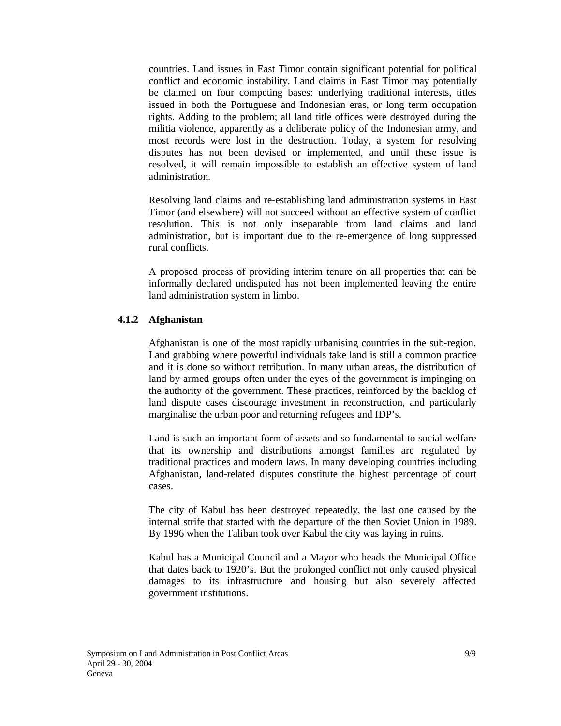countries. Land issues in East Timor contain significant potential for political conflict and economic instability. Land claims in East Timor may potentially be claimed on four competing bases: underlying traditional interests, titles issued in both the Portuguese and Indonesian eras, or long term occupation rights. Adding to the problem; all land title offices were destroyed during the militia violence, apparently as a deliberate policy of the Indonesian army, and most records were lost in the destruction. Today, a system for resolving disputes has not been devised or implemented, and until these issue is resolved, it will remain impossible to establish an effective system of land administration.

Resolving land claims and re-establishing land administration systems in East Timor (and elsewhere) will not succeed without an effective system of conflict resolution. This is not only inseparable from land claims and land administration, but is important due to the re-emergence of long suppressed rural conflicts.

A proposed process of providing interim tenure on all properties that can be informally declared undisputed has not been implemented leaving the entire land administration system in limbo.

#### **4.1.2 Afghanistan**

Afghanistan is one of the most rapidly urbanising countries in the sub-region. Land grabbing where powerful individuals take land is still a common practice and it is done so without retribution. In many urban areas, the distribution of land by armed groups often under the eyes of the government is impinging on the authority of the government. These practices, reinforced by the backlog of land dispute cases discourage investment in reconstruction, and particularly marginalise the urban poor and returning refugees and IDP's.

Land is such an important form of assets and so fundamental to social welfare that its ownership and distributions amongst families are regulated by traditional practices and modern laws. In many developing countries including Afghanistan, land-related disputes constitute the highest percentage of court cases.

The city of Kabul has been destroyed repeatedly, the last one caused by the internal strife that started with the departure of the then Soviet Union in 1989. By 1996 when the Taliban took over Kabul the city was laying in ruins.

Kabul has a Municipal Council and a Mayor who heads the Municipal Office that dates back to 1920's. But the prolonged conflict not only caused physical damages to its infrastructure and housing but also severely affected government institutions.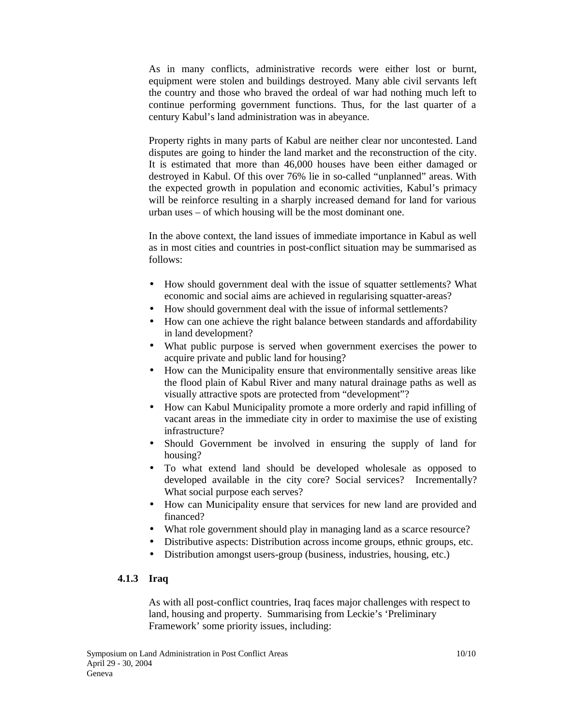As in many conflicts, administrative records were either lost or burnt, equipment were stolen and buildings destroyed. Many able civil servants left the country and those who braved the ordeal of war had nothing much left to continue performing government functions. Thus, for the last quarter of a century Kabul's land administration was in abeyance.

Property rights in many parts of Kabul are neither clear nor uncontested. Land disputes are going to hinder the land market and the reconstruction of the city. It is estimated that more than 46,000 houses have been either damaged or destroyed in Kabul. Of this over 76% lie in so-called "unplanned" areas. With the expected growth in population and economic activities, Kabul's primacy will be reinforce resulting in a sharply increased demand for land for various urban uses – of which housing will be the most dominant one.

In the above context, the land issues of immediate importance in Kabul as well as in most cities and countries in post-conflict situation may be summarised as follows:

- How should government deal with the issue of squatter settlements? What economic and social aims are achieved in regularising squatter-areas?
- How should government deal with the issue of informal settlements?
- How can one achieve the right balance between standards and affordability in land development?
- What public purpose is served when government exercises the power to acquire private and public land for housing?
- How can the Municipality ensure that environmentally sensitive areas like the flood plain of Kabul River and many natural drainage paths as well as visually attractive spots are protected from "development"?
- How can Kabul Municipality promote a more orderly and rapid infilling of vacant areas in the immediate city in order to maximise the use of existing infrastructure?
- Should Government be involved in ensuring the supply of land for housing?
- To what extend land should be developed wholesale as opposed to developed available in the city core? Social services? Incrementally? What social purpose each serves?
- How can Municipality ensure that services for new land are provided and financed?
- What role government should play in managing land as a scarce resource?
- Distributive aspects: Distribution across income groups, ethnic groups, etc.
- Distribution amongst users-group (business, industries, housing, etc.)

#### **4.1.3 Iraq**

As with all post-conflict countries, Iraq faces major challenges with respect to land, housing and property. Summarising from Leckie's 'Preliminary Framework' some priority issues, including: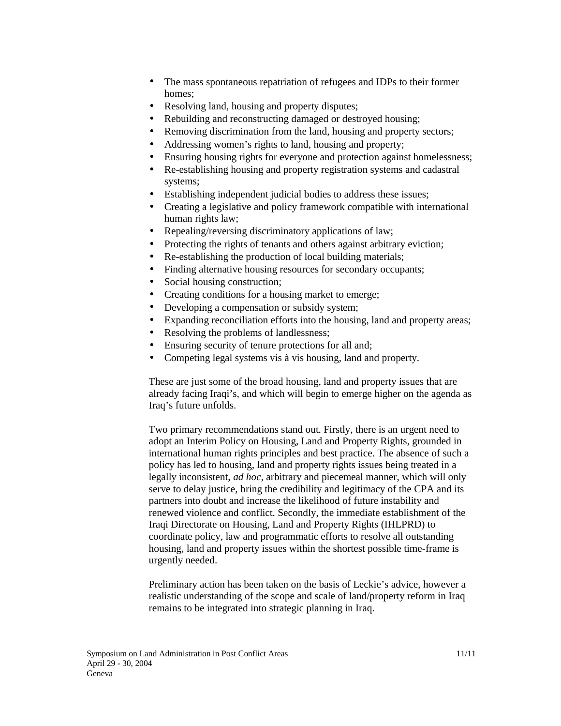- The mass spontaneous repatriation of refugees and IDPs to their former homes;
- Resolving land, housing and property disputes;
- Rebuilding and reconstructing damaged or destroyed housing;
- Removing discrimination from the land, housing and property sectors;
- Addressing women's rights to land, housing and property;
- Ensuring housing rights for everyone and protection against homelessness;
- Re-establishing housing and property registration systems and cadastral systems;
- Establishing independent judicial bodies to address these issues;
- Creating a legislative and policy framework compatible with international human rights law;
- Repealing/reversing discriminatory applications of law;
- Protecting the rights of tenants and others against arbitrary eviction;
- Re-establishing the production of local building materials;
- Finding alternative housing resources for secondary occupants;
- Social housing construction;
- Creating conditions for a housing market to emerge;
- Developing a compensation or subsidy system;
- Expanding reconciliation efforts into the housing, land and property areas;
- Resolving the problems of landlessness;
- Ensuring security of tenure protections for all and;
- Competing legal systems vis à vis housing, land and property.

These are just some of the broad housing, land and property issues that are already facing Iraqi's, and which will begin to emerge higher on the agenda as Iraq's future unfolds.

Two primary recommendations stand out. Firstly, there is an urgent need to adopt an Interim Policy on Housing, Land and Property Rights, grounded in international human rights principles and best practice. The absence of such a policy has led to housing, land and property rights issues being treated in a legally inconsistent, *ad hoc*, arbitrary and piecemeal manner, which will only serve to delay justice, bring the credibility and legitimacy of the CPA and its partners into doubt and increase the likelihood of future instability and renewed violence and conflict. Secondly, the immediate establishment of the Iraqi Directorate on Housing, Land and Property Rights (IHLPRD) to coordinate policy, law and programmatic efforts to resolve all outstanding housing, land and property issues within the shortest possible time-frame is urgently needed.

Preliminary action has been taken on the basis of Leckie's advice, however a realistic understanding of the scope and scale of land/property reform in Iraq remains to be integrated into strategic planning in Iraq.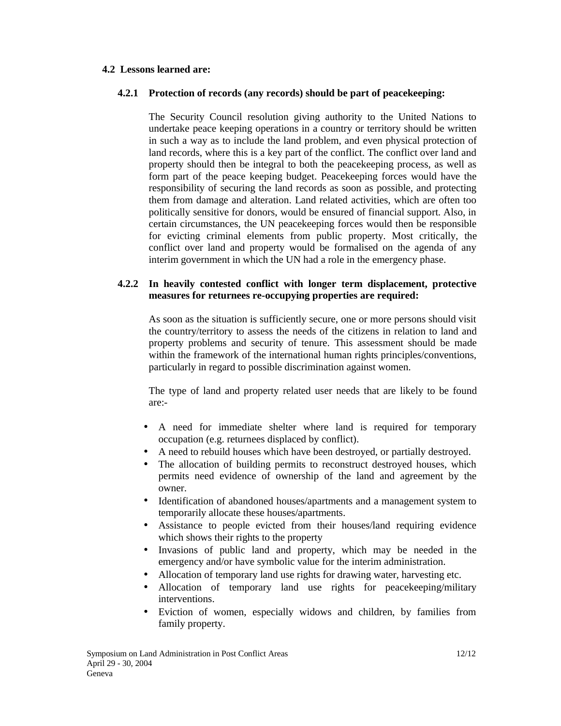#### **4.2 Lessons learned are:**

#### **4.2.1 Protection of records (any records) should be part of peacekeeping:**

The Security Council resolution giving authority to the United Nations to undertake peace keeping operations in a country or territory should be written in such a way as to include the land problem, and even physical protection of land records, where this is a key part of the conflict. The conflict over land and property should then be integral to both the peacekeeping process, as well as form part of the peace keeping budget. Peacekeeping forces would have the responsibility of securing the land records as soon as possible, and protecting them from damage and alteration. Land related activities, which are often too politically sensitive for donors, would be ensured of financial support. Also, in certain circumstances, the UN peacekeeping forces would then be responsible for evicting criminal elements from public property. Most critically, the conflict over land and property would be formalised on the agenda of any interim government in which the UN had a role in the emergency phase.

#### **4.2.2 In heavily contested conflict with longer term displacement, protective measures for returnees re-occupying properties are required:**

As soon as the situation is sufficiently secure, one or more persons should visit the country/territory to assess the needs of the citizens in relation to land and property problems and security of tenure. This assessment should be made within the framework of the international human rights principles/conventions, particularly in regard to possible discrimination against women.

The type of land and property related user needs that are likely to be found are:-

- A need for immediate shelter where land is required for temporary occupation (e.g. returnees displaced by conflict).
- A need to rebuild houses which have been destroyed, or partially destroyed.
- The allocation of building permits to reconstruct destroyed houses, which permits need evidence of ownership of the land and agreement by the owner.
- Identification of abandoned houses/apartments and a management system to temporarily allocate these houses/apartments.
- Assistance to people evicted from their houses/land requiring evidence which shows their rights to the property
- Invasions of public land and property, which may be needed in the emergency and/or have symbolic value for the interim administration.
- Allocation of temporary land use rights for drawing water, harvesting etc.
- Allocation of temporary land use rights for peacekeeping/military interventions.
- Eviction of women, especially widows and children, by families from family property.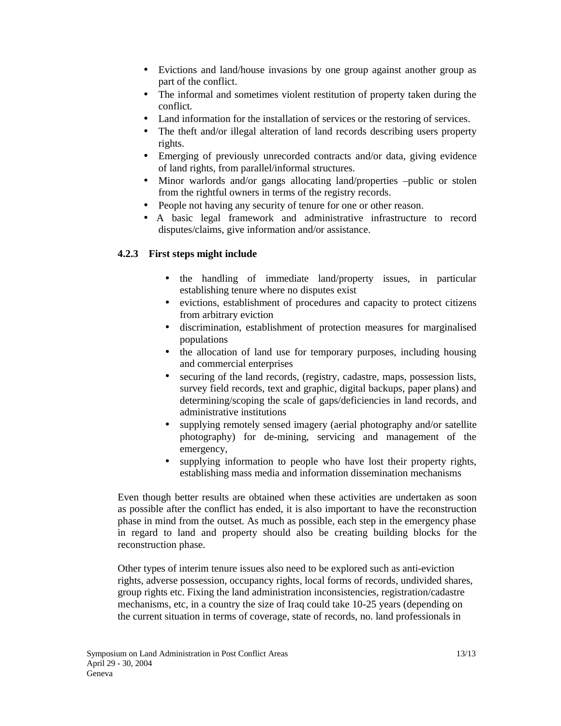- Evictions and land/house invasions by one group against another group as part of the conflict.
- The informal and sometimes violent restitution of property taken during the conflict.
- Land information for the installation of services or the restoring of services.
- The theft and/or illegal alteration of land records describing users property rights.
- Emerging of previously unrecorded contracts and/or data, giving evidence of land rights, from parallel/informal structures.
- Minor warlords and/or gangs allocating land/properties –public or stolen from the rightful owners in terms of the registry records.
- People not having any security of tenure for one or other reason.
- A basic legal framework and administrative infrastructure to record disputes/claims, give information and/or assistance.

#### **4.2.3 First steps might include**

- the handling of immediate land/property issues, in particular establishing tenure where no disputes exist
- evictions, establishment of procedures and capacity to protect citizens from arbitrary eviction
- discrimination, establishment of protection measures for marginalised populations
- the allocation of land use for temporary purposes, including housing and commercial enterprises
- securing of the land records, (registry, cadastre, maps, possession lists, survey field records, text and graphic, digital backups, paper plans) and determining/scoping the scale of gaps/deficiencies in land records, and administrative institutions
- supplying remotely sensed imagery (aerial photography and/or satellite photography) for de-mining, servicing and management of the emergency,
- supplying information to people who have lost their property rights, establishing mass media and information dissemination mechanisms

Even though better results are obtained when these activities are undertaken as soon as possible after the conflict has ended, it is also important to have the reconstruction phase in mind from the outset. As much as possible, each step in the emergency phase in regard to land and property should also be creating building blocks for the reconstruction phase.

Other types of interim tenure issues also need to be explored such as anti-eviction rights, adverse possession, occupancy rights, local forms of records, undivided shares, group rights etc. Fixing the land administration inconsistencies, registration/cadastre mechanisms, etc, in a country the size of Iraq could take 10-25 years (depending on the current situation in terms of coverage, state of records, no. land professionals in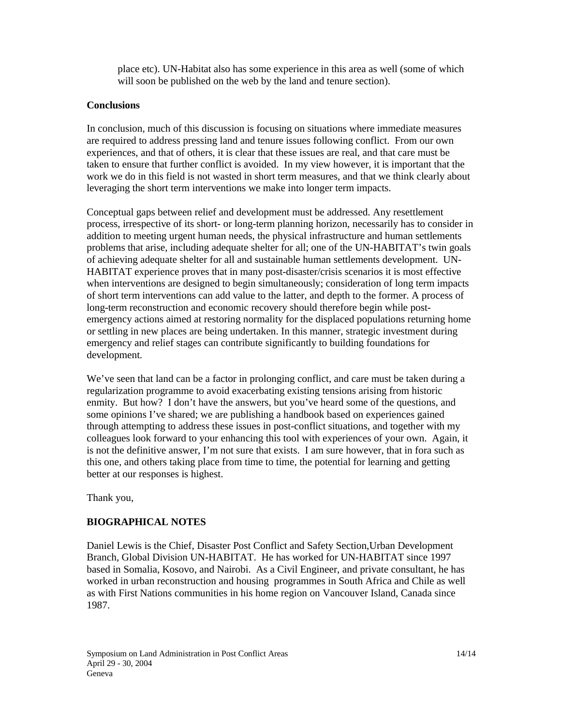place etc). UN-Habitat also has some experience in this area as well (some of which will soon be published on the web by the land and tenure section).

#### **Conclusions**

In conclusion, much of this discussion is focusing on situations where immediate measures are required to address pressing land and tenure issues following conflict. From our own experiences, and that of others, it is clear that these issues are real, and that care must be taken to ensure that further conflict is avoided. In my view however, it is important that the work we do in this field is not wasted in short term measures, and that we think clearly about leveraging the short term interventions we make into longer term impacts.

Conceptual gaps between relief and development must be addressed. Any resettlement process, irrespective of its short- or long-term planning horizon, necessarily has to consider in addition to meeting urgent human needs, the physical infrastructure and human settlements problems that arise, including adequate shelter for all; one of the UN-HABITAT's twin goals of achieving adequate shelter for all and sustainable human settlements development. UN-HABITAT experience proves that in many post-disaster/crisis scenarios it is most effective when interventions are designed to begin simultaneously; consideration of long term impacts of short term interventions can add value to the latter, and depth to the former. A process of long-term reconstruction and economic recovery should therefore begin while postemergency actions aimed at restoring normality for the displaced populations returning home or settling in new places are being undertaken. In this manner, strategic investment during emergency and relief stages can contribute significantly to building foundations for development.

We've seen that land can be a factor in prolonging conflict, and care must be taken during a regularization programme to avoid exacerbating existing tensions arising from historic enmity. But how? I don't have the answers, but you've heard some of the questions, and some opinions I've shared; we are publishing a handbook based on experiences gained through attempting to address these issues in post-conflict situations, and together with my colleagues look forward to your enhancing this tool with experiences of your own. Again, it is not the definitive answer, I'm not sure that exists. I am sure however, that in fora such as this one, and others taking place from time to time, the potential for learning and getting better at our responses is highest.

Thank you,

### **BIOGRAPHICAL NOTES**

Daniel Lewis is the Chief, Disaster Post Conflict and Safety Section,Urban Development Branch, Global Division UN-HABITAT. He has worked for UN-HABITAT since 1997 based in Somalia, Kosovo, and Nairobi. As a Civil Engineer, and private consultant, he has worked in urban reconstruction and housing programmes in South Africa and Chile as well as with First Nations communities in his home region on Vancouver Island, Canada since 1987.